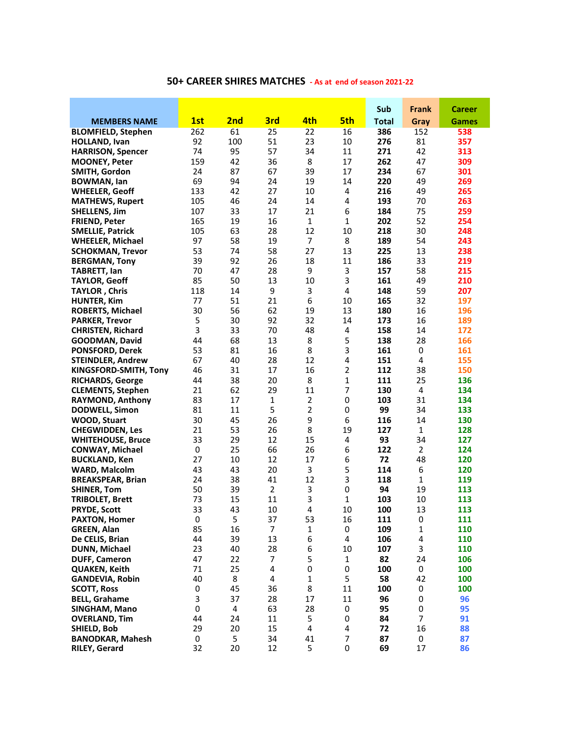|                                                  |          |                 |                |                  |                     | Sub          | Frank        | <b>Career</b> |
|--------------------------------------------------|----------|-----------------|----------------|------------------|---------------------|--------------|--------------|---------------|
| <b>MEMBERS NAME</b>                              | 1st      | 2 <sub>nd</sub> | 3rd            | 4th              | 5th                 | <b>Total</b> | Gray         | Games         |
| <b>BLOMFIELD, Stephen</b>                        | 262      | 61              | 25             | 22               | 16                  | 386          | 152          | 538           |
| <b>HOLLAND, Ivan</b>                             | 92       | 100             | 51             | 23               | 10                  | 276          | 81           | 357           |
| <b>HARRISON, Spencer</b>                         | 74       | 95              | 57             | 34               | 11                  | 271          | 42           | 313           |
| <b>MOONEY, Peter</b>                             | 159      | 42              | 36             | 8                | 17                  | 262          | 47           | 309           |
| SMITH, Gordon                                    | 24       | 87              | 67             | 39               | 17                  | 234          | 67           | 301           |
| <b>BOWMAN, lan</b>                               | 69       | 94              | 24             | 19               | 14                  | 220          | 49           | 269           |
| <b>WHEELER, Geoff</b>                            | 133      | 42              | 27             | 10               | 4                   | 216          | 49           | 265           |
| <b>MATHEWS, Rupert</b>                           | 105      | 46              | 24             | 14               | 4                   | 193          | 70           | 263           |
| <b>SHELLENS, Jim</b>                             | 107      | 33              | 17             | 21               | 6                   | 184          | 75           | 259           |
| <b>FRIEND, Peter</b>                             | 165      | 19              | 16             | $\mathbf{1}$     | 1                   | 202          | 52           | 254           |
| <b>SMELLIE, Patrick</b>                          | 105      | 63              | 28             | 12               | 10                  | 218          | 30           | 248           |
| <b>WHEELER, Michael</b>                          | 97       | 58              | 19             | $\overline{7}$   | 8                   | 189          | 54           | 243           |
| <b>SCHOKMAN, Trevor</b>                          | 53       | 74              | 58             | 27               | 13                  | 225          | 13           | 238           |
| <b>BERGMAN, Tony</b>                             | 39       | 92              | 26             | 18               | 11                  | 186          | 33           | 219           |
| <b>TABRETT, lan</b>                              | 70       | 47              | 28             | 9                | 3                   | 157          | 58           | 215           |
| <b>TAYLOR, Geoff</b>                             | 85       | 50              | 13             | 10               | 3                   | 161          | 49           | 210           |
| <b>TAYLOR, Chris</b>                             | 118      | 14              | 9              | 3                | 4                   | 148          | 59           | 207           |
| <b>HUNTER, Kim</b>                               | 77       | 51              | 21             | 6                | 10                  | 165          | 32           | 197           |
| <b>ROBERTS, Michael</b>                          | 30       | 56              | 62             | 19               | 13                  | 180          | 16           | 196           |
| <b>PARKER, Trevor</b>                            | 5        | 30              | 92             | 32               | 14                  | 173          | 16           | 189           |
| <b>CHRISTEN, Richard</b>                         | 3        | 33              | 70             | 48               | 4                   | 158          | 14           | 172           |
| <b>GOODMAN, David</b>                            | 44       | 68              | 13             | 8                | 5                   | 138          | 28           | 166           |
| <b>PONSFORD, Derek</b>                           | 53<br>67 | 81<br>40        | 16             | 8<br>12          | 3<br>4              | 161          | 0<br>4       | 161           |
| <b>STEINDLER, Andrew</b>                         | 46       | 31              | 28<br>17       | 16               | 2                   | 151<br>112   | 38           | 155<br>150    |
| KINGSFORD-SMITH, Tony<br><b>RICHARDS, George</b> | 44       | 38              | 20             | 8                | 1                   | 111          | 25           | 136           |
| <b>CLEMENTS, Stephen</b>                         | 21       | 62              | 29             | 11               | 7                   | 130          | 4            | 134           |
| <b>RAYMOND, Anthony</b>                          | 83       | 17              | 1              | $\overline{2}$   | 0                   | 103          | 31           | 134           |
| <b>DODWELL, Simon</b>                            | 81       | 11              | 5              | $\overline{2}$   | 0                   | 99           | 34           | 133           |
| <b>WOOD, Stuart</b>                              | 30       | 45              | 26             | 9                | 6                   | 116          | 14           | 130           |
| <b>CHEGWIDDEN, Les</b>                           | 21       | 53              | 26             | 8                | 19                  | 127          | $\mathbf{1}$ | 128           |
| <b>WHITEHOUSE, Bruce</b>                         | 33       | 29              | 12             | 15               | 4                   | 93           | 34           | 127           |
| <b>CONWAY, Michael</b>                           | 0        | 25              | 66             | 26               | 6                   | 122          | 2            | 124           |
| <b>BUCKLAND, Ken</b>                             | 27       | 10              | 12             | 17               | 6                   | 72           | 48           | 120           |
| <b>WARD, Malcolm</b>                             | 43       | 43              | 20             | 3                | 5                   | 114          | 6            | 120           |
| <b>BREAKSPEAR, Brian</b>                         | 24       | 38              | 41             | 12               | 3                   | 118          | 1            | 119           |
| <b>SHINER, Tom</b>                               | 50       | 39              | $\overline{2}$ | 3                | 0                   | 94           | 19           | 113           |
| <b>TRIBOLET, Brett</b>                           | 73       | 15              | 11             | 3                | 1                   | 103          | 10           | 113           |
| <b>PRYDE, Scott</b>                              | 33       | 43              | 10             | 4                | 10                  | 100          | 13           | 113           |
| <b>PAXTON, Homer</b>                             | 0        | 5               | 37             | 53               | 16                  | 111          | 0            | 111           |
| <b>GREEN, Alan</b>                               | 85       | 16              | 7              | $\mathbf{1}$     | 0                   | 109          | $\mathbf{1}$ | 110           |
| De CELIS, Brian                                  | 44       | 39              | 13             | 6                | 4                   | 106          | 4            | 110           |
| <b>DUNN, Michael</b>                             | 23       | 40              | 28             | $\boldsymbol{6}$ | 10                  | 107          | 3            | 110           |
| <b>DUFF, Cameron</b>                             | 47       | 22              | $\overline{7}$ | 5                | $\mathbf{1}$        | 82           | 24           | 106           |
| <b>QUAKEN, Keith</b>                             | 71       | 25              | 4              | 0                | 0                   | 100          | 0            | 100           |
| <b>GANDEVIA, Robin</b>                           | 40       | 8               | 4              | $\mathbf{1}$     | 5                   | 58           | 42           | 100           |
| <b>SCOTT, Ross</b>                               | 0        | 45              | 36             | 8                | 11                  | 100          | 0            | 100           |
| <b>BELL, Grahame</b>                             | 3        | 37              | 28             | 17               | 11                  | 96           | 0            | 96            |
| SINGHAM, Mano                                    | 0        | 4               | 63             | 28               | 0                   | 95           | 0            | 95            |
| <b>OVERLAND, Tim</b>                             | 44       | 24              | 11             | 5                | 0                   | 84           | 7            | 91            |
| SHIELD, Bob                                      | 29       | 20              | 15             | $\pmb{4}$        | 4                   | 72           | 16           | 88            |
| <b>BANODKAR, Mahesh</b>                          | 0<br>32  | 5<br>20         | 34<br>12       | 41<br>5          | $\overline{7}$<br>0 | 87<br>69     | 0<br>17      | 87<br>86      |
| <b>RILEY, Gerard</b>                             |          |                 |                |                  |                     |              |              |               |

## **50+ CAREER SHIRES MATCHES - As at end of season 2021-22**